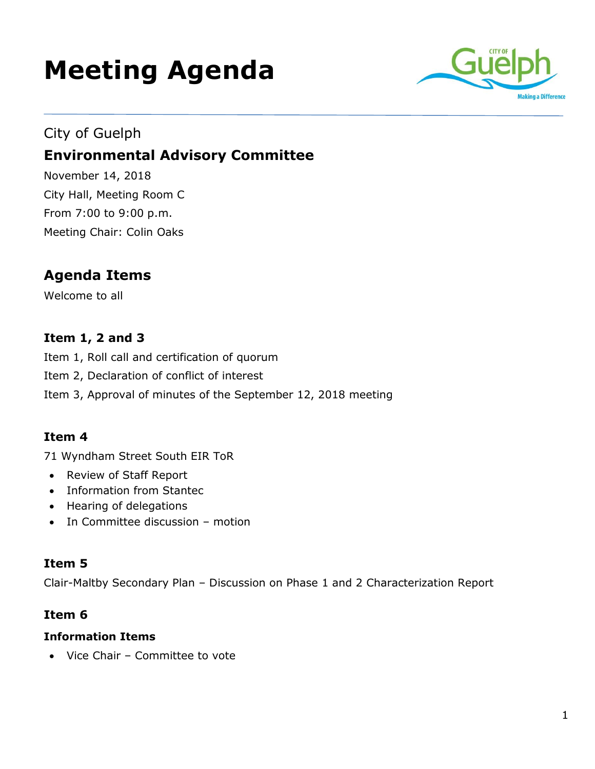# **Meeting Agenda**



## City of Guelph **Environmental Advisory Committee**

November 14, 2018 City Hall, Meeting Room C From 7:00 to 9:00 p.m. Meeting Chair: Colin Oaks

## **Agenda Items**

Welcome to all

### **Item 1, 2 and 3**

Item 1, Roll call and certification of quorum

- Item 2, Declaration of conflict of interest
- Item 3, Approval of minutes of the September 12, 2018 meeting

#### **Item 4**

71 Wyndham Street South EIR ToR

- Review of Staff Report
- Information from Stantec
- Hearing of delegations
- In Committee discussion motion

#### **Item 5**

Clair-Maltby Secondary Plan – Discussion on Phase 1 and 2 Characterization Report

#### **Item 6**

#### **Information Items**

Vice Chair – Committee to vote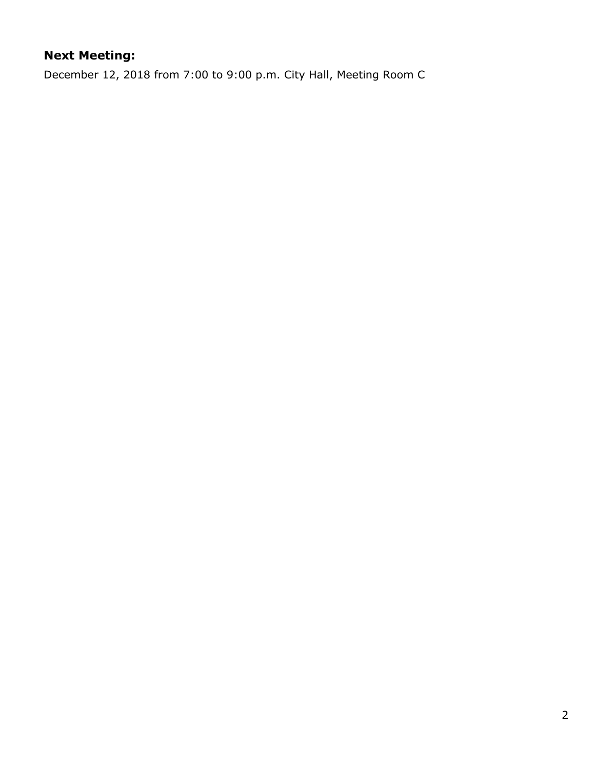## **Next Meeting:**

December 12, 2018 from 7:00 to 9:00 p.m. City Hall, Meeting Room C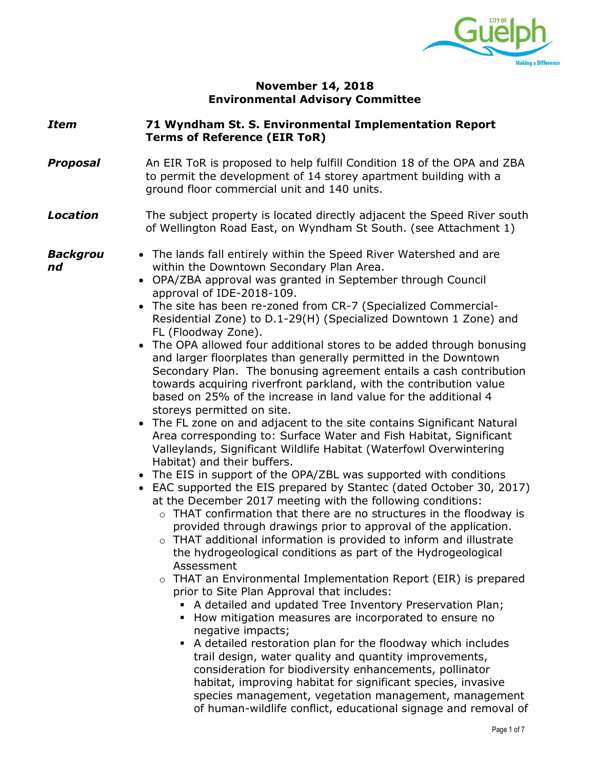

#### **November 14, 2018 Environmental Advisory Committee**

#### *Item* **71 Wyndham St. S. Environmental Implementation Report Terms of Reference (EIR ToR)** *Proposal* An EIR ToR is proposed to help fulfill Condition 18 of the OPA and ZBA to permit the development of 14 storey apartment building with a ground floor commercial unit and 140 units. **Location** The subject property is located directly adjacent the Speed River south of Wellington Road East, on Wyndham St South. (see Attachment 1) *Backgrou nd* The lands fall entirely within the Speed River Watershed and are within the Downtown Secondary Plan Area. OPA/ZBA approval was granted in September through Council approval of IDE-2018-109. The site has been re-zoned from CR-7 (Specialized Commercial-Residential Zone) to D.1-29(H) (Specialized Downtown 1 Zone) and FL (Floodway Zone). • The OPA allowed four additional stores to be added through bonusing and larger floorplates than generally permitted in the Downtown Secondary Plan. The bonusing agreement entails a cash contribution towards acquiring riverfront parkland, with the contribution value based on 25% of the increase in land value for the additional 4 storeys permitted on site. The FL zone on and adjacent to the site contains Significant Natural Area corresponding to: Surface Water and Fish Habitat, Significant Valleylands, Significant Wildlife Habitat (Waterfowl Overwintering Habitat) and their buffers. The EIS in support of the OPA/ZBL was supported with conditions EAC supported the EIS prepared by Stantec (dated October 30, 2017) at the December 2017 meeting with the following conditions:  $\circ$  THAT confirmation that there are no structures in the floodway is provided through drawings prior to approval of the application. o THAT additional information is provided to inform and illustrate the hydrogeological conditions as part of the Hydrogeological Assessment  $\circ$  THAT an Environmental Implementation Report (EIR) is prepared prior to Site Plan Approval that includes: A detailed and updated Tree Inventory Preservation Plan; How mitigation measures are incorporated to ensure no negative impacts; A detailed restoration plan for the floodway which includes trail design, water quality and quantity improvements, consideration for biodiversity enhancements, pollinator habitat, improving habitat for significant species, invasive species management, vegetation management, management of human-wildlife conflict, educational signage and removal of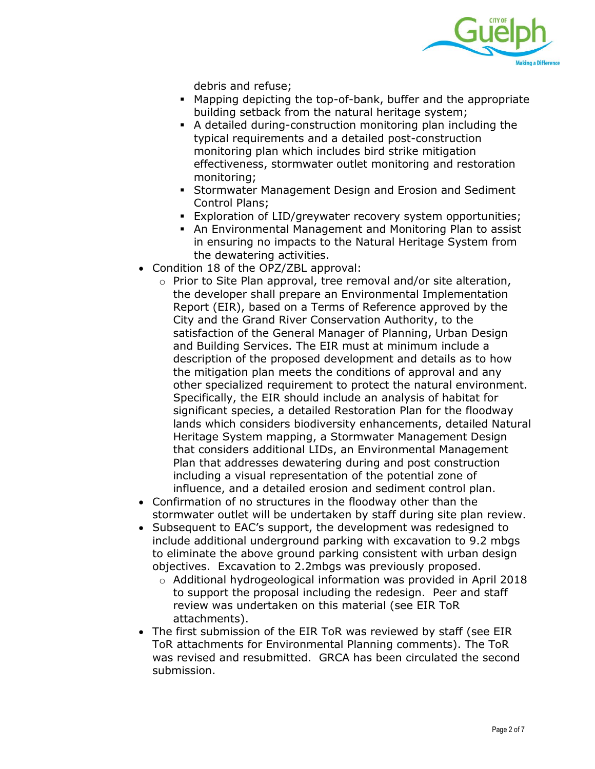

debris and refuse;

- Mapping depicting the top-of-bank, buffer and the appropriate building setback from the natural heritage system;
- A detailed during-construction monitoring plan including the typical requirements and a detailed post-construction monitoring plan which includes bird strike mitigation effectiveness, stormwater outlet monitoring and restoration monitoring;
- Stormwater Management Design and Erosion and Sediment Control Plans;
- Exploration of LID/greywater recovery system opportunities;
- An Environmental Management and Monitoring Plan to assist in ensuring no impacts to the Natural Heritage System from the dewatering activities.
- Condition 18 of the OPZ/ZBL approval:
	- o Prior to Site Plan approval, tree removal and/or site alteration, the developer shall prepare an Environmental Implementation Report (EIR), based on a Terms of Reference approved by the City and the Grand River Conservation Authority, to the satisfaction of the General Manager of Planning, Urban Design and Building Services. The EIR must at minimum include a description of the proposed development and details as to how the mitigation plan meets the conditions of approval and any other specialized requirement to protect the natural environment. Specifically, the EIR should include an analysis of habitat for significant species, a detailed Restoration Plan for the floodway lands which considers biodiversity enhancements, detailed Natural Heritage System mapping, a Stormwater Management Design that considers additional LIDs, an Environmental Management Plan that addresses dewatering during and post construction including a visual representation of the potential zone of influence, and a detailed erosion and sediment control plan.
- Confirmation of no structures in the floodway other than the stormwater outlet will be undertaken by staff during site plan review.
- Subsequent to EAC's support, the development was redesigned to include additional underground parking with excavation to 9.2 mbgs to eliminate the above ground parking consistent with urban design objectives. Excavation to 2.2mbgs was previously proposed.
	- $\circ$  Additional hydrogeological information was provided in April 2018 to support the proposal including the redesign. Peer and staff review was undertaken on this material (see EIR ToR attachments).
- The first submission of the EIR ToR was reviewed by staff (see EIR ToR attachments for Environmental Planning comments). The ToR was revised and resubmitted. GRCA has been circulated the second submission.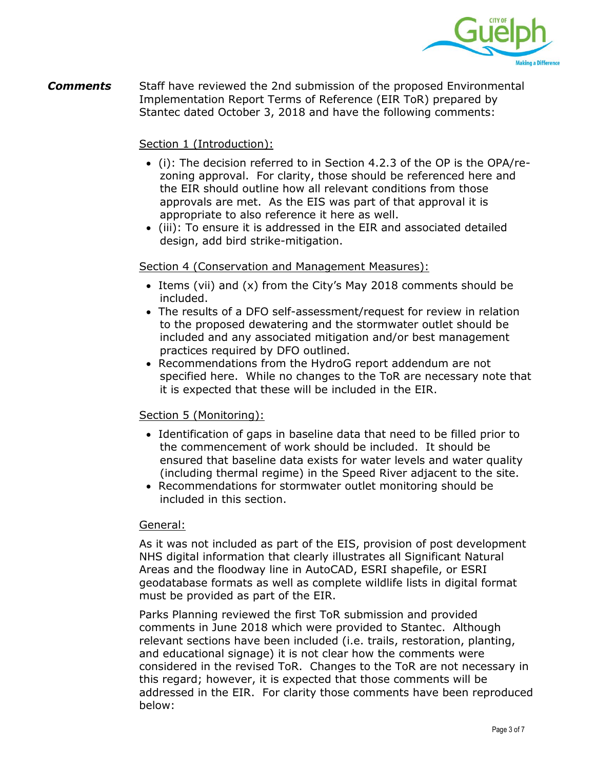

*Comments* Staff have reviewed the 2nd submission of the proposed Environmental Implementation Report Terms of Reference (EIR ToR) prepared by Stantec dated October 3, 2018 and have the following comments:

#### Section 1 (Introduction):

- (i): The decision referred to in Section 4.2.3 of the OP is the OPA/rezoning approval. For clarity, those should be referenced here and the EIR should outline how all relevant conditions from those approvals are met. As the EIS was part of that approval it is appropriate to also reference it here as well.
- (iii): To ensure it is addressed in the EIR and associated detailed design, add bird strike-mitigation.

#### Section 4 (Conservation and Management Measures):

- Items (vii) and (x) from the City's May 2018 comments should be included.
- The results of a DFO self-assessment/request for review in relation to the proposed dewatering and the stormwater outlet should be included and any associated mitigation and/or best management practices required by DFO outlined.
- Recommendations from the HydroG report addendum are not specified here. While no changes to the ToR are necessary note that it is expected that these will be included in the EIR.

#### Section 5 (Monitoring):

- Identification of gaps in baseline data that need to be filled prior to the commencement of work should be included. It should be ensured that baseline data exists for water levels and water quality (including thermal regime) in the Speed River adjacent to the site.
- Recommendations for stormwater outlet monitoring should be included in this section.

#### General:

As it was not included as part of the EIS, provision of post development NHS digital information that clearly illustrates all Significant Natural Areas and the floodway line in AutoCAD, ESRI shapefile, or ESRI geodatabase formats as well as complete wildlife lists in digital format must be provided as part of the EIR.

Parks Planning reviewed the first ToR submission and provided comments in June 2018 which were provided to Stantec. Although relevant sections have been included (i.e. trails, restoration, planting, and educational signage) it is not clear how the comments were considered in the revised ToR. Changes to the ToR are not necessary in this regard; however, it is expected that those comments will be addressed in the EIR. For clarity those comments have been reproduced below: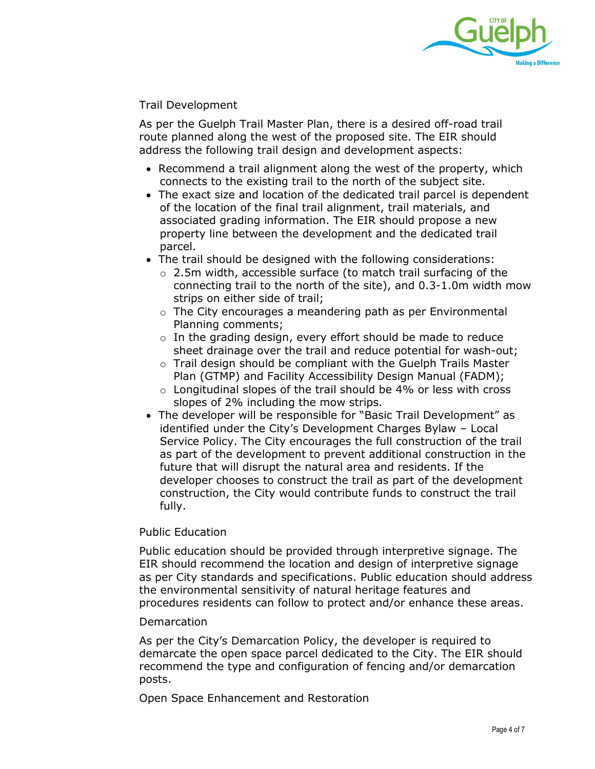

Trail Development

As per the Guelph Trail Master Plan, there is a desired off-road trail route planned along the west of the proposed site. The EIR should address the following trail design and development aspects:

- Recommend a trail alignment along the west of the property, which connects to the existing trail to the north of the subject site.
- The exact size and location of the dedicated trail parcel is dependent of the location of the final trail alignment, trail materials, and associated grading information. The EIR should propose a new property line between the development and the dedicated trail parcel.
- The trail should be designed with the following considerations:
	- o 2.5m width, accessible surface (to match trail surfacing of the connecting trail to the north of the site), and 0.3-1.0m width mow strips on either side of trail;
	- o The City encourages a meandering path as per Environmental Planning comments;
	- o In the grading design, every effort should be made to reduce sheet drainage over the trail and reduce potential for wash-out;
	- o Trail design should be compliant with the Guelph Trails Master Plan (GTMP) and Facility Accessibility Design Manual (FADM);
	- $\circ$  Longitudinal slopes of the trail should be 4% or less with cross slopes of 2% including the mow strips.
- The developer will be responsible for "Basic Trail Development" as identified under the City's Development Charges Bylaw – Local Service Policy. The City encourages the full construction of the trail as part of the development to prevent additional construction in the future that will disrupt the natural area and residents. If the developer chooses to construct the trail as part of the development construction, the City would contribute funds to construct the trail fully.

#### Public Education

Public education should be provided through interpretive signage. The EIR should recommend the location and design of interpretive signage as per City standards and specifications. Public education should address the environmental sensitivity of natural heritage features and procedures residents can follow to protect and/or enhance these areas.

#### Demarcation

As per the City's Demarcation Policy, the developer is required to demarcate the open space parcel dedicated to the City. The EIR should recommend the type and configuration of fencing and/or demarcation posts.

Open Space Enhancement and Restoration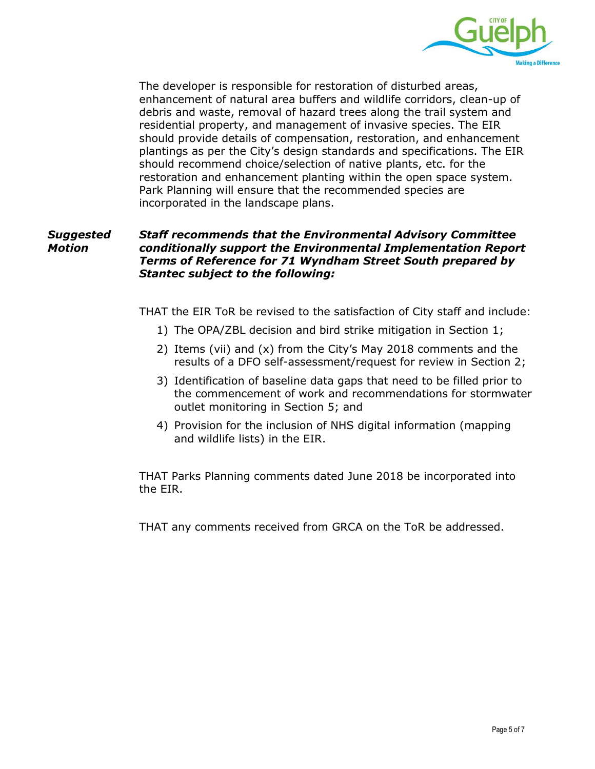

The developer is responsible for restoration of disturbed areas, enhancement of natural area buffers and wildlife corridors, clean-up of debris and waste, removal of hazard trees along the trail system and residential property, and management of invasive species. The EIR should provide details of compensation, restoration, and enhancement plantings as per the City's design standards and specifications. The EIR should recommend choice/selection of native plants, etc. for the restoration and enhancement planting within the open space system. Park Planning will ensure that the recommended species are incorporated in the landscape plans.

#### *Suggested Motion Staff recommends that the Environmental Advisory Committee conditionally support the Environmental Implementation Report Terms of Reference for 71 Wyndham Street South prepared by Stantec subject to the following:*

THAT the EIR ToR be revised to the satisfaction of City staff and include:

- 1) The OPA/ZBL decision and bird strike mitigation in Section 1;
- 2) Items (vii) and (x) from the City's May 2018 comments and the results of a DFO self-assessment/request for review in Section 2;
- 3) Identification of baseline data gaps that need to be filled prior to the commencement of work and recommendations for stormwater outlet monitoring in Section 5; and
- 4) Provision for the inclusion of NHS digital information (mapping and wildlife lists) in the EIR.

THAT Parks Planning comments dated June 2018 be incorporated into the EIR.

THAT any comments received from GRCA on the ToR be addressed.